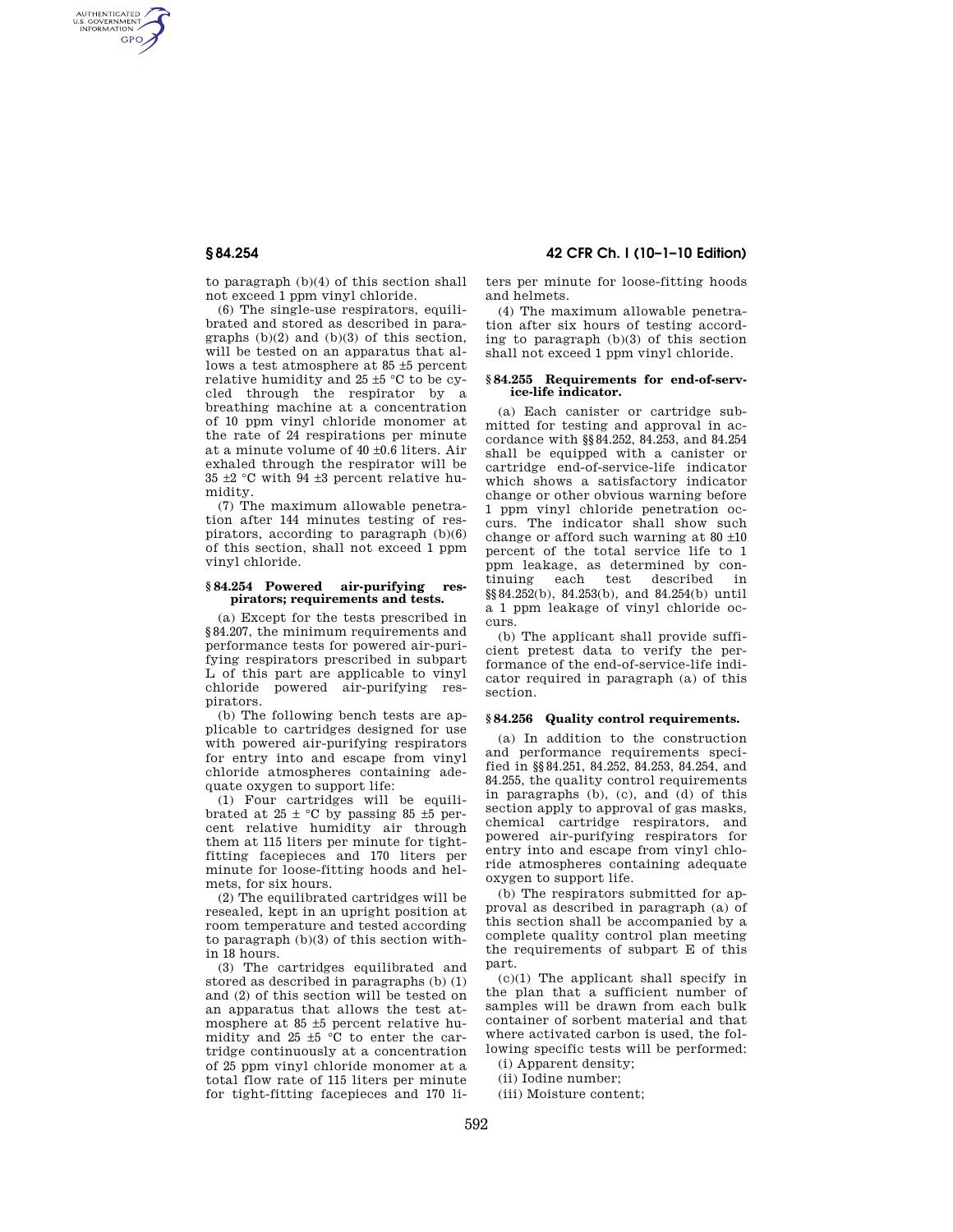AUTHENTICATED<br>U.S. GOVERNMENT<br>INFORMATION **GPO** 

> to paragraph (b)(4) of this section shall not exceed 1 ppm vinyl chloride.

(6) The single-use respirators, equilibrated and stored as described in paragraphs (b)(2) and (b)(3) of this section, will be tested on an apparatus that allows a test atmosphere at 85 ±5 percent relative humidity and 25 ±5 °C to be cycled through the respirator by a breathing machine at a concentration of 10 ppm vinyl chloride monomer at the rate of 24 respirations per minute at a minute volume of 40 ±0.6 liters. Air exhaled through the respirator will be 35  $\pm$ 2 °C with 94  $\pm$ 3 percent relative humidity.

(7) The maximum allowable penetration after 144 minutes testing of respirators, according to paragraph (b)(6) of this section, shall not exceed 1 ppm vinyl chloride.

### **§ 84.254 Powered air-purifying respirators; requirements and tests.**

(a) Except for the tests prescribed in §84.207, the minimum requirements and performance tests for powered air-purifying respirators prescribed in subpart L of this part are applicable to vinyl chloride powered air-purifying respirators.

(b) The following bench tests are applicable to cartridges designed for use with powered air-purifying respirators for entry into and escape from vinyl chloride atmospheres containing adequate oxygen to support life:

(1) Four cartridges will be equilibrated at  $25 \pm {}^{\circ}C$  by passing 85  $\pm 5$  percent relative humidity air through them at 115 liters per minute for tightfitting facepieces and 170 liters per minute for loose-fitting hoods and helmets, for six hours.

(2) The equilibrated cartridges will be resealed, kept in an upright position at room temperature and tested according to paragraph (b)(3) of this section within 18 hours.

(3) The cartridges equilibrated and stored as described in paragraphs (b) (1) and (2) of this section will be tested on an apparatus that allows the test atmosphere at 85 ±5 percent relative humidity and  $25 \pm 5$  °C to enter the cartridge continuously at a concentration of 25 ppm vinyl chloride monomer at a total flow rate of 115 liters per minute for tight-fitting facepieces and 170 li-

# **§ 84.254 42 CFR Ch. I (10–1–10 Edition)**

ters per minute for loose-fitting hoods and helmets.

(4) The maximum allowable penetration after six hours of testing according to paragraph (b)(3) of this section shall not exceed 1 ppm vinyl chloride.

#### **§ 84.255 Requirements for end-of-service-life indicator.**

(a) Each canister or cartridge submitted for testing and approval in accordance with §§84.252, 84.253, and 84.254 shall be equipped with a canister or cartridge end-of-service-life indicator which shows a satisfactory indicator change or other obvious warning before 1 ppm vinyl chloride penetration occurs. The indicator shall show such change or afford such warning at 80 ±10 percent of the total service life to 1 ppm leakage, as determined by continuing each test described in §§84.252(b), 84.253(b), and 84.254(b) until a 1 ppm leakage of vinyl chloride occurs.

(b) The applicant shall provide sufficient pretest data to verify the performance of the end-of-service-life indicator required in paragraph (a) of this section.

#### **§ 84.256 Quality control requirements.**

(a) In addition to the construction and performance requirements specified in §§84.251, 84.252, 84.253, 84.254, and 84.255, the quality control requirements in paragraphs (b), (c), and (d) of this section apply to approval of gas masks, chemical cartridge respirators, and powered air-purifying respirators for entry into and escape from vinyl chloride atmospheres containing adequate oxygen to support life.

(b) The respirators submitted for approval as described in paragraph (a) of this section shall be accompanied by a complete quality control plan meeting the requirements of subpart E of this part.

(c)(1) The applicant shall specify in the plan that a sufficient number of samples will be drawn from each bulk container of sorbent material and that where activated carbon is used, the following specific tests will be performed:

(i) Apparent density;

- (ii) Iodine number;
- (iii) Moisture content;